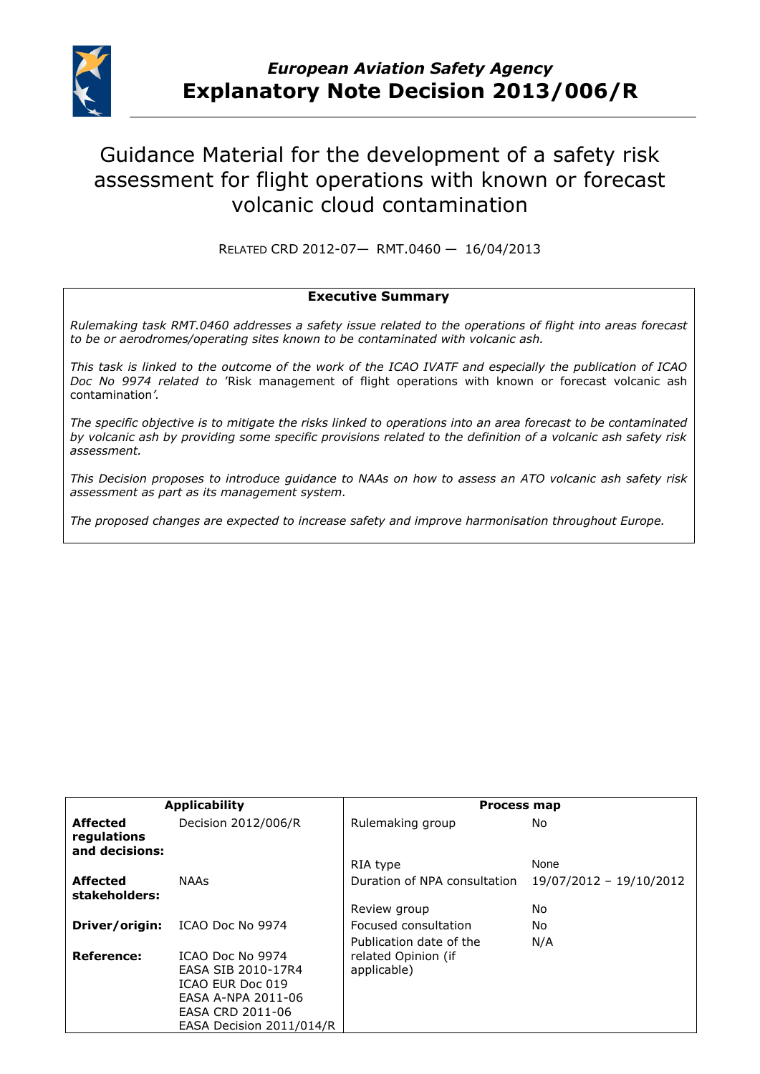

# Guidance Material for the development of a safety risk assessment for flight operations with known or forecast volcanic cloud contamination

RELATED CRD 2012-07— RMT.0460 — 16/04/2013

#### **Executive Summary**

*Rulemaking task RMT.0460 addresses a safety issue related to the operations of flight into areas forecast to be or aerodromes/operating sites known to be contaminated with volcanic ash.*

*This task is linked to the outcome of the work of the ICAO IVATF and especially the publication of ICAO Doc No 9974 related to* 'Risk management of flight operations with known or forecast volcanic ash contamination*'.* 

*The specific objective is to mitigate the risks linked to operations into an area forecast to be contaminated by volcanic ash by providing some specific provisions related to the definition of a volcanic ash safety risk assessment.* 

*This Decision proposes to introduce guidance to NAAs on how to assess an ATO volcanic ash safety risk assessment as part as its management system.*

*The proposed changes are expected to increase safety and improve harmonisation throughout Europe.*

| <b>Applicability</b>                             |                          | <b>Process map</b>           |                         |
|--------------------------------------------------|--------------------------|------------------------------|-------------------------|
| <b>Affected</b><br>regulations<br>and decisions: | Decision 2012/006/R      | Rulemaking group             | No.                     |
|                                                  |                          | RIA type                     | None                    |
| <b>Affected</b><br>stakeholders:                 | <b>NAAs</b>              | Duration of NPA consultation | 19/07/2012 - 19/10/2012 |
|                                                  |                          | Review group                 | No.                     |
| Driver/origin:                                   | ICAO Doc No 9974         | Focused consultation         | No.                     |
|                                                  |                          | Publication date of the      | N/A                     |
| <b>Reference:</b>                                | <b>ICAO Doc No 9974</b>  | related Opinion (if          |                         |
|                                                  | EASA SIB 2010-17R4       | applicable)                  |                         |
|                                                  | ICAO EUR Doc 019         |                              |                         |
|                                                  | EASA A-NPA 2011-06       |                              |                         |
|                                                  | EASA CRD 2011-06         |                              |                         |
|                                                  | EASA Decision 2011/014/R |                              |                         |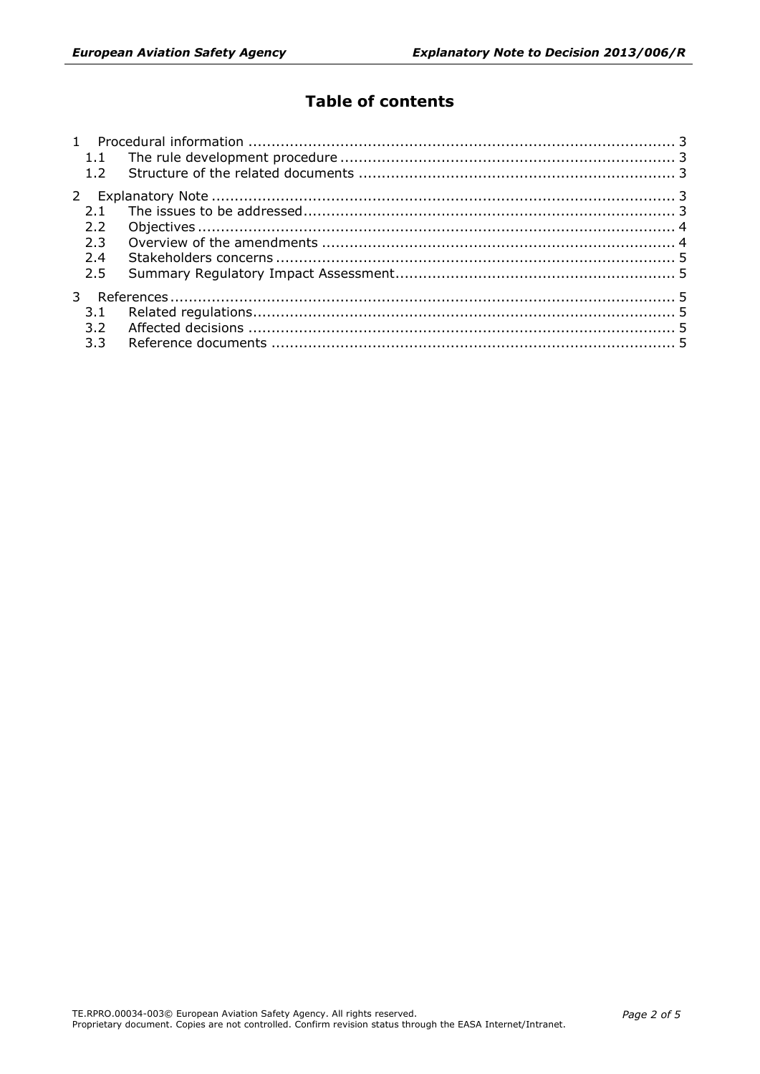# **Table of contents**

| 1.1              |  |
|------------------|--|
| 1.2              |  |
|                  |  |
|                  |  |
| $2.2^{\circ}$    |  |
| 2.3              |  |
| 2.4              |  |
| 2.5              |  |
|                  |  |
| 3.1              |  |
| 3.2              |  |
| 3.3 <sup>2</sup> |  |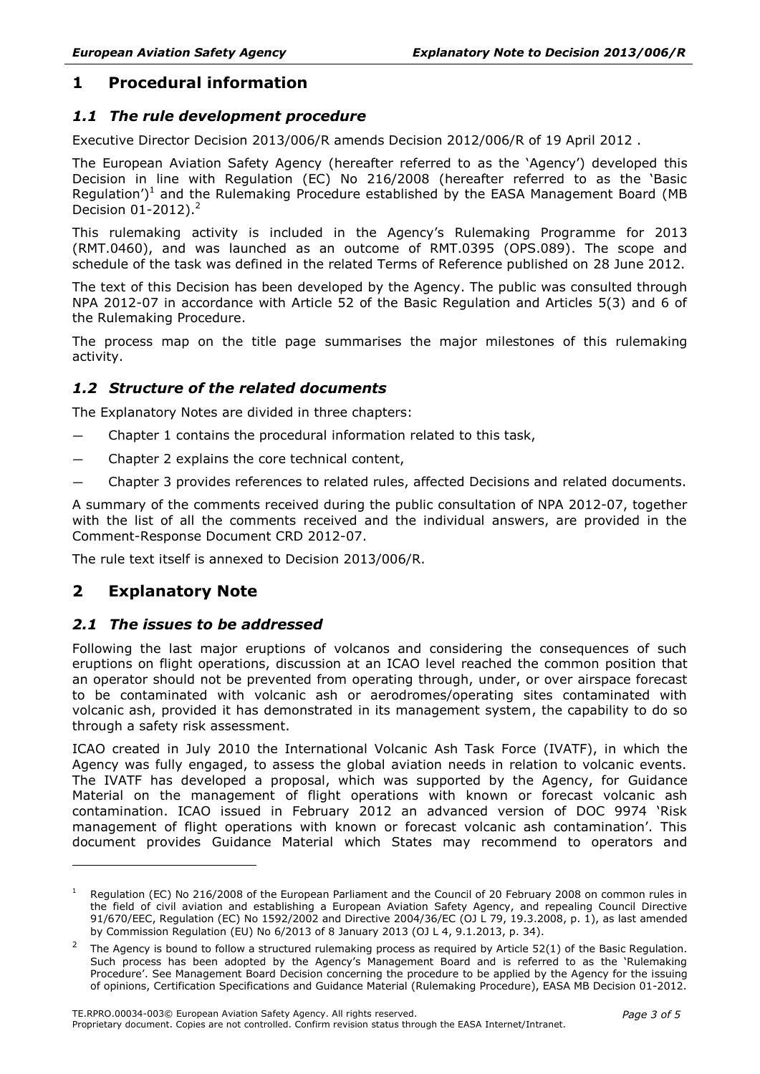# <span id="page-2-0"></span>**1 Procedural information**

# <span id="page-2-1"></span>*1.1 The rule development procedure*

Executive Director Decision 2013/006/R amends Decision 2012/006/R of 19 April 2012 .

The European Aviation Safety Agency (hereafter referred to as the 'Agency') developed this Decision in line with Regulation (EC) No 216/2008 (hereafter referred to as the 'Basic Regulation')<sup>1</sup> and the Rulemaking Procedure established by the EASA Management Board (MB Decision 01-2012).<sup>2</sup>

This rulemaking activity is included in the Agency's Rulemaking Programme for 2013 (RMT.0460), and was launched as an outcome of RMT.0395 (OPS.089). The scope and schedule of the task was defined in the related Terms of Reference published on 28 June 2012.

The text of this Decision has been developed by the Agency. The public was consulted through NPA 2012-07 in accordance with Article 52 of the Basic Regulation and Articles 5(3) and 6 of the Rulemaking Procedure.

The process map on the title page summarises the major milestones of this rulemaking activity.

# <span id="page-2-2"></span>*1.2 Structure of the related documents*

The Explanatory Notes are divided in three chapters:

- Chapter 1 contains the procedural information related to this task,
- Chapter 2 explains the core technical content,
- Chapter 3 provides references to related rules, affected Decisions and related documents.

A summary of the comments received during the public consultation of NPA 2012-07, together with the list of all the comments received and the individual answers, are provided in the Comment-Response Document CRD 2012-07.

The rule text itself is annexed to Decision 2013/006/R.

# <span id="page-2-3"></span>**2 Explanatory Note**

-

# <span id="page-2-4"></span>*2.1 The issues to be addressed*

Following the last major eruptions of volcanos and considering the consequences of such eruptions on flight operations, discussion at an ICAO level reached the common position that an operator should not be prevented from operating through, under, or over airspace forecast to be contaminated with volcanic ash or aerodromes/operating sites contaminated with volcanic ash, provided it has demonstrated in its management system, the capability to do so through a safety risk assessment.

ICAO created in July 2010 the International Volcanic Ash Task Force (IVATF), in which the Agency was fully engaged, to assess the global aviation needs in relation to volcanic events. The IVATF has developed a proposal, which was supported by the Agency, for Guidance Material on the management of flight operations with known or forecast volcanic ash contamination. ICAO issued in February 2012 an advanced version of DOC 9974 'Risk management of flight operations with known or forecast volcanic ash contamination'. This document provides Guidance Material which States may recommend to operators and

Regulation (EC) No 216/2008 of the European Parliament and the Council of 20 February 2008 on common rules in the field of civil aviation and establishing a European Aviation Safety Agency, and repealing Council Directive 91/670/EEC, Regulation (EC) No 1592/2002 and Directive 2004/36/EC (OJ L 79, 19.3.2008, p. 1), as last amended by Commission Regulation (EU) No 6/2013 of 8 January 2013 (OJ L 4, 9.1.2013, p. 34).

<sup>&</sup>lt;sup>2</sup> The Agency is bound to follow a structured rulemaking process as required by Article 52(1) of the Basic Regulation. Such process has been adopted by the Agency's Management Board and is referred to as the 'Rulemaking Procedure'. See Management Board Decision concerning the procedure to be applied by the Agency for the issuing of opinions, Certification Specifications and Guidance Material (Rulemaking Procedure), EASA MB Decision 01-2012.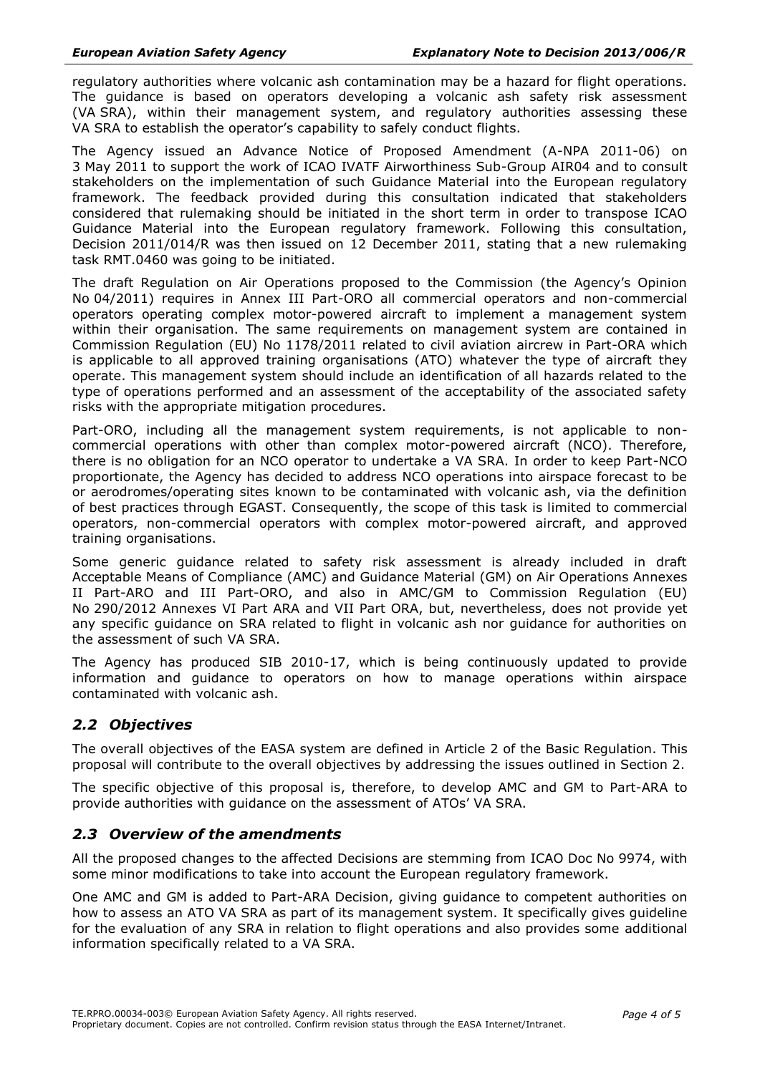regulatory authorities where volcanic ash contamination may be a hazard for flight operations. The guidance is based on operators developing a volcanic ash safety risk assessment (VA SRA), within their management system, and regulatory authorities assessing these VA SRA to establish the operator's capability to safely conduct flights.

The Agency issued an Advance Notice of Proposed Amendment (A-NPA 2011-06) on 3 May 2011 to support the work of ICAO IVATF Airworthiness Sub-Group AIR04 and to consult stakeholders on the implementation of such Guidance Material into the European regulatory framework. The feedback provided during this consultation indicated that stakeholders considered that rulemaking should be initiated in the short term in order to transpose ICAO Guidance Material into the European regulatory framework. Following this consultation, Decision 2011/014/R was then issued on 12 December 2011, stating that a new rulemaking task RMT.0460 was going to be initiated.

The draft Regulation on Air Operations proposed to the Commission (the Agency's Opinion No 04/2011) requires in Annex III Part-ORO all commercial operators and non-commercial operators operating complex motor-powered aircraft to implement a management system within their organisation. The same requirements on management system are contained in Commission Regulation (EU) No 1178/2011 related to civil aviation aircrew in Part-ORA which is applicable to all approved training organisations (ATO) whatever the type of aircraft they operate. This management system should include an identification of all hazards related to the type of operations performed and an assessment of the acceptability of the associated safety risks with the appropriate mitigation procedures.

Part-ORO, including all the management system requirements, is not applicable to noncommercial operations with other than complex motor-powered aircraft (NCO). Therefore, there is no obligation for an NCO operator to undertake a VA SRA. In order to keep Part-NCO proportionate, the Agency has decided to address NCO operations into airspace forecast to be or aerodromes/operating sites known to be contaminated with volcanic ash, via the definition of best practices through EGAST. Consequently, the scope of this task is limited to commercial operators, non-commercial operators with complex motor-powered aircraft, and approved training organisations.

Some generic guidance related to safety risk assessment is already included in draft Acceptable Means of Compliance (AMC) and Guidance Material (GM) on Air Operations Annexes II Part-ARO and III Part-ORO, and also in AMC/GM to Commission Regulation (EU) No 290/2012 Annexes VI Part ARA and VII Part ORA, but, nevertheless, does not provide yet any specific guidance on SRA related to flight in volcanic ash nor guidance for authorities on the assessment of such VA SRA.

The Agency has produced SIB 2010-17, which is being continuously updated to provide information and guidance to operators on how to manage operations within airspace contaminated with volcanic ash.

# <span id="page-3-0"></span>*2.2 Objectives*

The overall objectives of the EASA system are defined in Article 2 of the Basic Regulation. This proposal will contribute to the overall objectives by addressing the issues outlined in Section 2.

The specific objective of this proposal is, therefore, to develop AMC and GM to Part-ARA to provide authorities with guidance on the assessment of ATOs' VA SRA.

#### <span id="page-3-1"></span>*2.3 Overview of the amendments*

All the proposed changes to the affected Decisions are stemming from ICAO Doc No 9974, with some minor modifications to take into account the European regulatory framework.

One AMC and GM is added to Part-ARA Decision, giving guidance to competent authorities on how to assess an ATO VA SRA as part of its management system. It specifically gives guideline for the evaluation of any SRA in relation to flight operations and also provides some additional information specifically related to a VA SRA.